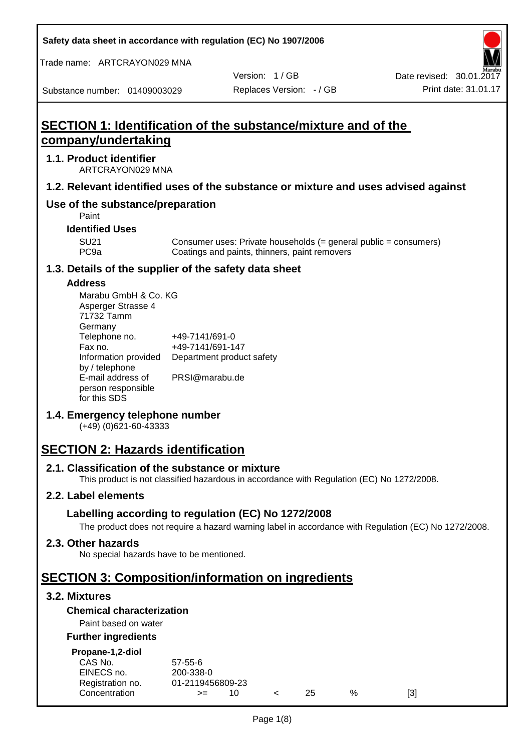**Safety data sheet in accordance with regulation (EC) No 1907/2006**

Trade name: ARTCRAYON029 MNA

Substance number: 01409003029

Version: 1 / GB

## **SECTION 1: Identification of the substance/mixture and of the company/undertaking**

#### **1.1. Product identifier**

ARTCRAYON029 MNA

## **1.2. Relevant identified uses of the substance or mixture and uses advised against**

## **Use of the substance/preparation**

Paint

**Identified Uses**

SU21 Consumer uses: Private households (= general public = consumers)<br>PC9a Coatings and paints, thinners, paint removers Coatings and paints, thinners, paint removers

#### **1.3. Details of the supplier of the safety data sheet**

#### **Address**

| Marabu GmbH & Co. KG |                           |
|----------------------|---------------------------|
| Asperger Strasse 4   |                           |
| 71732 Tamm           |                           |
| Germany              |                           |
| Telephone no.        | +49-7141/691-0            |
| Fax no.              | +49-7141/691-147          |
| Information provided | Department product safety |
| by / telephone       |                           |
| E-mail address of    | PRSI@marabu.de            |
| person responsible   |                           |
| for this SDS         |                           |

## **1.4. Emergency telephone number**

(+49) (0)621-60-43333

## **SECTION 2: Hazards identification**

#### **2.1. Classification of the substance or mixture**

This product is not classified hazardous in accordance with Regulation (EC) No 1272/2008.

## **2.2. Label elements**

## **Labelling according to regulation (EC) No 1272/2008**

The product does not require a hazard warning label in accordance with Regulation (EC) No 1272/2008.

#### **2.3. Other hazards**

No special hazards have to be mentioned.

## **SECTION 3: Composition/information on ingredients**

## **3.2. Mixtures**

#### **Chemical characterization**

## Paint based on water

#### **Further ingredients**

| Propane-1,2-diol |  |
|------------------|--|
|                  |  |

| CAS No.          | 57-55-6          |  |     |   |     |
|------------------|------------------|--|-----|---|-----|
| EINECS no.       | 200-338-0        |  |     |   |     |
| Registration no. | 01-2119456809-23 |  |     |   |     |
| Concentration    | $>=$             |  | 25. | % | [3] |
|                  |                  |  |     |   |     |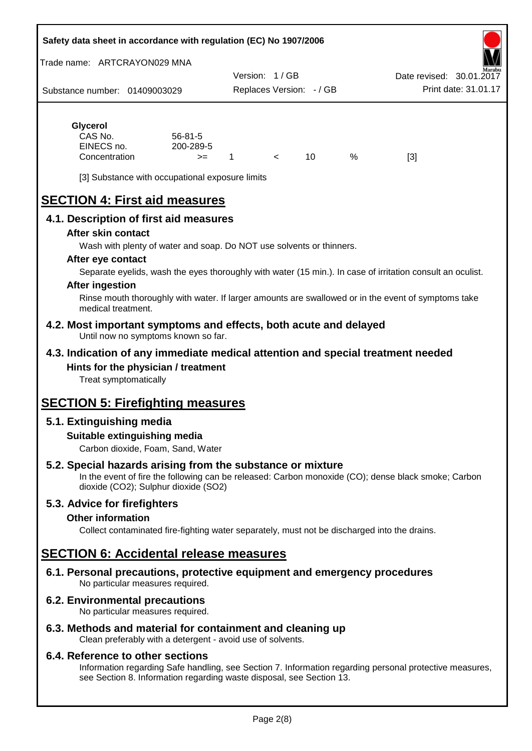#### **Safety data sheet in accordance with regulation (EC) No 1907/2006**

Trade name: ARTCRAYON029 MNA

Substance number: 01409003029 Version: 1 / GB Replaces Version: - / GB Print date: 31.01.17 Date revised: 30.01.2

## **Glycerol** CAS No. 56-81-5

| .             |               |  |      |     |
|---------------|---------------|--|------|-----|
| CAS No.       | $56 - 81 - 5$ |  |      |     |
| EINECS no.    | 200-289-5     |  |      |     |
| Concentration | $>=$          |  | $\%$ | [3] |

[3] Substance with occupational exposure limits

# **SECTION 4: First aid measures**

## **4.1. Description of first aid measures**

#### **After skin contact**

Wash with plenty of water and soap. Do NOT use solvents or thinners.

#### **After eye contact**

Separate eyelids, wash the eyes thoroughly with water (15 min.). In case of irritation consult an oculist.

#### **After ingestion**

Rinse mouth thoroughly with water. If larger amounts are swallowed or in the event of symptoms take medical treatment.

#### **4.2. Most important symptoms and effects, both acute and delayed** Until now no symptoms known so far.

## **4.3. Indication of any immediate medical attention and special treatment needed Hints for the physician / treatment**

Treat symptomatically

## **SECTION 5: Firefighting measures**

## **5.1. Extinguishing media**

## **Suitable extinguishing media**

Carbon dioxide, Foam, Sand, Water

## **5.2. Special hazards arising from the substance or mixture**

In the event of fire the following can be released: Carbon monoxide (CO); dense black smoke; Carbon dioxide (CO2); Sulphur dioxide (SO2)

## **5.3. Advice for firefighters**

#### **Other information**

Collect contaminated fire-fighting water separately, must not be discharged into the drains.

## **SECTION 6: Accidental release measures**

**6.1. Personal precautions, protective equipment and emergency procedures** No particular measures required.

## **6.2. Environmental precautions**

No particular measures required.

## **6.3. Methods and material for containment and cleaning up**

Clean preferably with a detergent - avoid use of solvents.

#### **6.4. Reference to other sections**

Information regarding Safe handling, see Section 7. Information regarding personal protective measures, see Section 8. Information regarding waste disposal, see Section 13.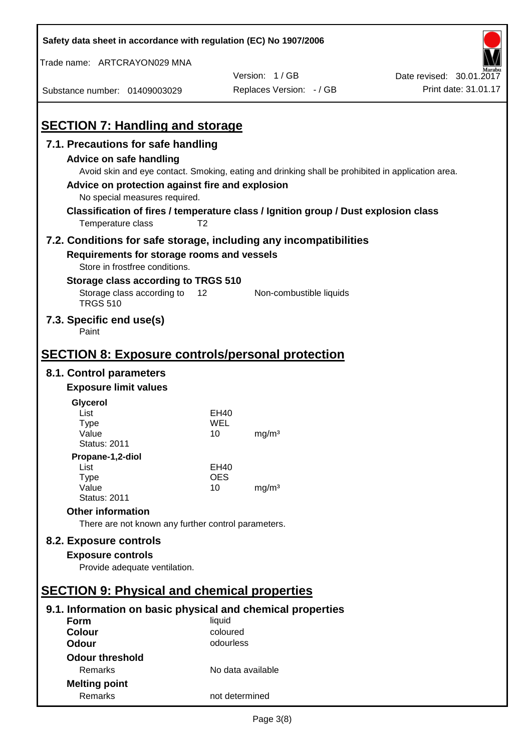| Safety data sheet in accordance with regulation (EC) No 1907/2006                   |                   |                                                                                                   |                          |
|-------------------------------------------------------------------------------------|-------------------|---------------------------------------------------------------------------------------------------|--------------------------|
| Trade name: ARTCRAYON029 MNA                                                        |                   |                                                                                                   |                          |
|                                                                                     |                   | Version: 1/GB                                                                                     | Date revised: 30.01.2017 |
| Substance number: 01409003029                                                       |                   | Replaces Version: - / GB                                                                          | Print date: 31.01.17     |
|                                                                                     |                   |                                                                                                   |                          |
| <b>SECTION 7: Handling and storage</b>                                              |                   |                                                                                                   |                          |
| 7.1. Precautions for safe handling                                                  |                   |                                                                                                   |                          |
| <b>Advice on safe handling</b>                                                      |                   |                                                                                                   |                          |
|                                                                                     |                   | Avoid skin and eye contact. Smoking, eating and drinking shall be prohibited in application area. |                          |
| Advice on protection against fire and explosion                                     |                   |                                                                                                   |                          |
| No special measures required.                                                       |                   |                                                                                                   |                          |
| Classification of fires / temperature class / Ignition group / Dust explosion class |                   |                                                                                                   |                          |
| Temperature class                                                                   | T <sub>2</sub>    |                                                                                                   |                          |
| 7.2. Conditions for safe storage, including any incompatibilities                   |                   |                                                                                                   |                          |
| Requirements for storage rooms and vessels                                          |                   |                                                                                                   |                          |
| Store in frostfree conditions.                                                      |                   |                                                                                                   |                          |
| Storage class according to TRGS 510                                                 |                   |                                                                                                   |                          |
| Storage class according to<br><b>TRGS 510</b>                                       | 12                | Non-combustible liquids                                                                           |                          |
| 7.3. Specific end use(s)<br>Paint                                                   |                   |                                                                                                   |                          |
|                                                                                     |                   |                                                                                                   |                          |
| <b>SECTION 8: Exposure controls/personal protection</b>                             |                   |                                                                                                   |                          |
| 8.1. Control parameters                                                             |                   |                                                                                                   |                          |
| <b>Exposure limit values</b>                                                        |                   |                                                                                                   |                          |
| Glycerol                                                                            |                   |                                                                                                   |                          |
| List                                                                                | EH40              |                                                                                                   |                          |
| <b>Type</b><br>Value                                                                | WEL<br>10         | mg/m <sup>3</sup>                                                                                 |                          |
| <b>Status: 2011</b>                                                                 |                   |                                                                                                   |                          |
| Propane-1,2-diol                                                                    |                   |                                                                                                   |                          |
| List                                                                                | EH40              |                                                                                                   |                          |
| <b>Type</b><br>Value                                                                | <b>OES</b><br>10  | mg/m <sup>3</sup>                                                                                 |                          |
| <b>Status: 2011</b>                                                                 |                   |                                                                                                   |                          |
| <b>Other information</b>                                                            |                   |                                                                                                   |                          |
| There are not known any further control parameters.                                 |                   |                                                                                                   |                          |
| 8.2. Exposure controls                                                              |                   |                                                                                                   |                          |
| <b>Exposure controls</b>                                                            |                   |                                                                                                   |                          |
| Provide adequate ventilation.                                                       |                   |                                                                                                   |                          |
|                                                                                     |                   |                                                                                                   |                          |
| <b>SECTION 9: Physical and chemical properties</b>                                  |                   |                                                                                                   |                          |
| 9.1. Information on basic physical and chemical properties                          |                   |                                                                                                   |                          |
| Form                                                                                | liquid            |                                                                                                   |                          |
| <b>Colour</b>                                                                       | coloured          |                                                                                                   |                          |
| <b>Odour</b>                                                                        | odourless         |                                                                                                   |                          |
| <b>Odour threshold</b>                                                              |                   |                                                                                                   |                          |
| Remarks                                                                             | No data available |                                                                                                   |                          |
| <b>Melting point</b>                                                                |                   |                                                                                                   |                          |
| Remarks                                                                             | not determined    |                                                                                                   |                          |

 $\mathbf{r}$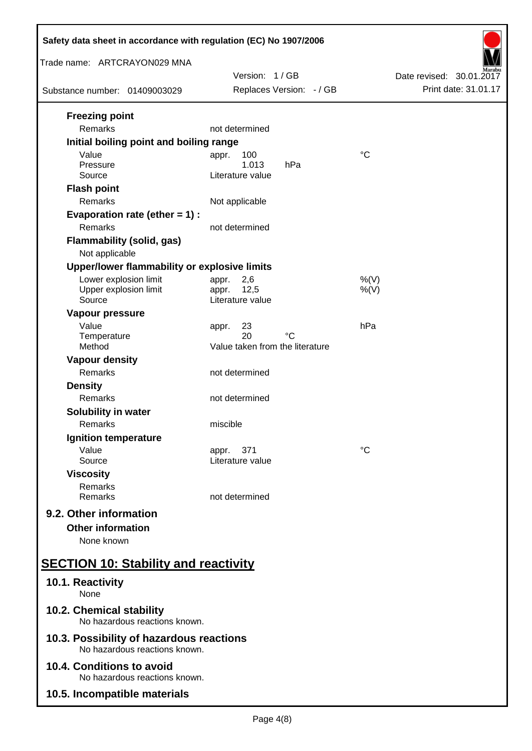| Safety data sheet in accordance with regulation (EC) No 1907/2006         |                                                            |                          |  |  |
|---------------------------------------------------------------------------|------------------------------------------------------------|--------------------------|--|--|
| Trade name: ARTCRAYON029 MNA                                              | Version: 1/GB                                              | Date revised: 30.01.2017 |  |  |
| Substance number: 01409003029                                             | Replaces Version: - / GB                                   | Print date: 31.01.17     |  |  |
| <b>Freezing point</b><br>Remarks                                          | not determined                                             |                          |  |  |
| Initial boiling point and boiling range<br>Value                          | 100                                                        | $\rm ^{\circ}C$          |  |  |
| Pressure<br>Source                                                        | appr.<br>1.013<br>hPa<br>Literature value                  |                          |  |  |
| <b>Flash point</b><br>Remarks                                             | Not applicable                                             |                          |  |  |
| Evaporation rate (ether $= 1$ ) :<br>Remarks                              | not determined                                             |                          |  |  |
| <b>Flammability (solid, gas)</b><br>Not applicable                        |                                                            |                          |  |  |
| Upper/lower flammability or explosive limits                              |                                                            |                          |  |  |
| Lower explosion limit<br>Upper explosion limit<br>Source                  | 2,6<br>appr.<br>12,5<br>appr.<br>Literature value          | $%$ (V)<br>$%$ (V)       |  |  |
| Vapour pressure<br>Value<br>Temperature<br>Method                         | 23<br>appr.<br>20<br>°C<br>Value taken from the literature | hPa                      |  |  |
| <b>Vapour density</b>                                                     |                                                            |                          |  |  |
| Remarks                                                                   | not determined                                             |                          |  |  |
| <b>Density</b><br>Remarks                                                 | not determined                                             |                          |  |  |
| Solubility in water<br>Remarks                                            | miscible                                                   |                          |  |  |
| Ignition temperature                                                      |                                                            |                          |  |  |
| Value<br>Source                                                           | 371<br>appr.<br>Literature value                           | °C                       |  |  |
| <b>Viscosity</b><br>Remarks<br>Remarks                                    | not determined                                             |                          |  |  |
| 9.2. Other information<br><b>Other information</b><br>None known          |                                                            |                          |  |  |
| <b>SECTION 10: Stability and reactivity</b>                               |                                                            |                          |  |  |
| 10.1. Reactivity<br>None                                                  |                                                            |                          |  |  |
| 10.2. Chemical stability<br>No hazardous reactions known.                 |                                                            |                          |  |  |
| 10.3. Possibility of hazardous reactions<br>No hazardous reactions known. |                                                            |                          |  |  |
| 10.4. Conditions to avoid<br>No hazardous reactions known.                |                                                            |                          |  |  |
| 10.5. Incompatible materials                                              |                                                            |                          |  |  |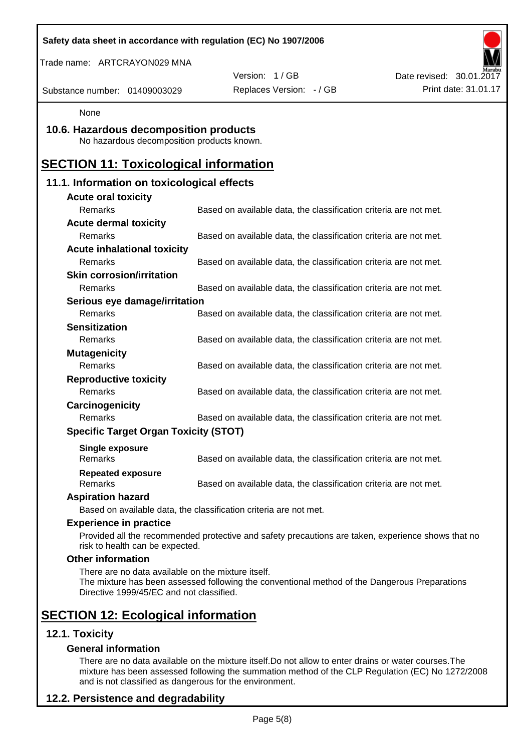| Safety data sheet in accordance with regulation (EC) No 1907/2006                              |                                                                                                    |                          |
|------------------------------------------------------------------------------------------------|----------------------------------------------------------------------------------------------------|--------------------------|
| Trade name: ARTCRAYON029 MNA                                                                   |                                                                                                    |                          |
|                                                                                                | Version: 1/GB                                                                                      | Date revised: 30.01.2017 |
| Substance number: 01409003029                                                                  | Replaces Version: - / GB                                                                           | Print date: 31.01.17     |
| None                                                                                           |                                                                                                    |                          |
| 10.6. Hazardous decomposition products<br>No hazardous decomposition products known.           |                                                                                                    |                          |
| <b>SECTION 11: Toxicological information</b>                                                   |                                                                                                    |                          |
| 11.1. Information on toxicological effects                                                     |                                                                                                    |                          |
| <b>Acute oral toxicity</b>                                                                     |                                                                                                    |                          |
| Remarks                                                                                        | Based on available data, the classification criteria are not met.                                  |                          |
| <b>Acute dermal toxicity</b>                                                                   |                                                                                                    |                          |
| Remarks                                                                                        | Based on available data, the classification criteria are not met.                                  |                          |
| <b>Acute inhalational toxicity</b>                                                             |                                                                                                    |                          |
| Remarks                                                                                        | Based on available data, the classification criteria are not met.                                  |                          |
| <b>Skin corrosion/irritation</b>                                                               |                                                                                                    |                          |
| <b>Remarks</b>                                                                                 | Based on available data, the classification criteria are not met.                                  |                          |
| Serious eye damage/irritation                                                                  |                                                                                                    |                          |
| Remarks                                                                                        | Based on available data, the classification criteria are not met.                                  |                          |
| <b>Sensitization</b><br>Remarks                                                                |                                                                                                    |                          |
|                                                                                                | Based on available data, the classification criteria are not met.                                  |                          |
| <b>Mutagenicity</b><br>Remarks                                                                 | Based on available data, the classification criteria are not met.                                  |                          |
| <b>Reproductive toxicity</b>                                                                   |                                                                                                    |                          |
| Remarks                                                                                        | Based on available data, the classification criteria are not met.                                  |                          |
| Carcinogenicity                                                                                |                                                                                                    |                          |
| Remarks                                                                                        | Based on available data, the classification criteria are not met.                                  |                          |
| <b>Specific Target Organ Toxicity (STOT)</b>                                                   |                                                                                                    |                          |
| <b>Single exposure</b>                                                                         |                                                                                                    |                          |
| Remarks                                                                                        | Based on available data, the classification criteria are not met.                                  |                          |
| <b>Repeated exposure</b>                                                                       |                                                                                                    |                          |
| Remarks                                                                                        | Based on available data, the classification criteria are not met.                                  |                          |
| <b>Aspiration hazard</b>                                                                       |                                                                                                    |                          |
|                                                                                                | Based on available data, the classification criteria are not met.                                  |                          |
| <b>Experience in practice</b>                                                                  |                                                                                                    |                          |
| risk to health can be expected.                                                                | Provided all the recommended protective and safety precautions are taken, experience shows that no |                          |
| <b>Other information</b>                                                                       |                                                                                                    |                          |
| There are no data available on the mixture itself.<br>Directive 1999/45/EC and not classified. | The mixture has been assessed following the conventional method of the Dangerous Preparations      |                          |
| <b>SECTION 12: Ecological information</b>                                                      |                                                                                                    |                          |
| 12.1. Toxicity                                                                                 |                                                                                                    |                          |
| <b>General information</b>                                                                     |                                                                                                    |                          |

There are no data available on the mixture itself.Do not allow to enter drains or water courses.The mixture has been assessed following the summation method of the CLP Regulation (EC) No 1272/2008 and is not classified as dangerous for the environment.

## **12.2. Persistence and degradability**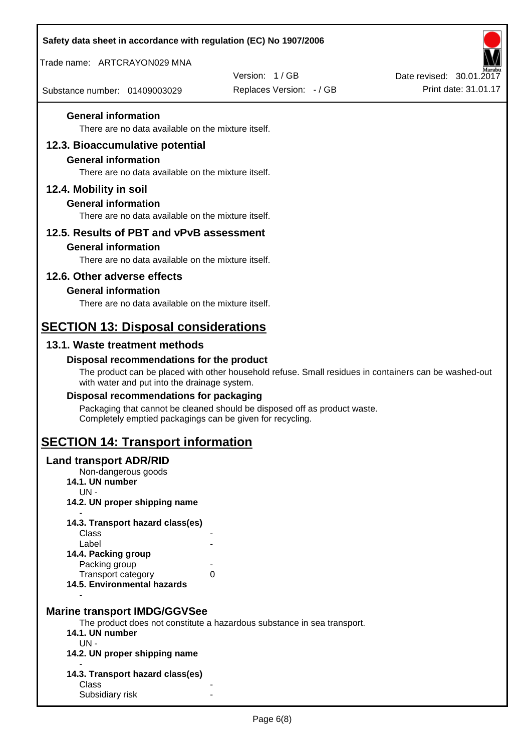| Safety data sheet in accordance with regulation (EC) No 1907/2006                |                                                                                                       |                          |
|----------------------------------------------------------------------------------|-------------------------------------------------------------------------------------------------------|--------------------------|
| Trade name: ARTCRAYON029 MNA                                                     |                                                                                                       |                          |
|                                                                                  | Version: 1/GB                                                                                         | Date revised: 30.01.2017 |
| Substance number: 01409003029                                                    | Replaces Version: - / GB                                                                              | Print date: 31.01.17     |
| <b>General information</b>                                                       |                                                                                                       |                          |
| There are no data available on the mixture itself.                               |                                                                                                       |                          |
| 12.3. Bioaccumulative potential                                                  |                                                                                                       |                          |
| <b>General information</b><br>There are no data available on the mixture itself. |                                                                                                       |                          |
| 12.4. Mobility in soil                                                           |                                                                                                       |                          |
| <b>General information</b>                                                       |                                                                                                       |                          |
| There are no data available on the mixture itself.                               |                                                                                                       |                          |
| 12.5. Results of PBT and vPvB assessment                                         |                                                                                                       |                          |
| <b>General information</b>                                                       |                                                                                                       |                          |
| There are no data available on the mixture itself.                               |                                                                                                       |                          |
| 12.6. Other adverse effects                                                      |                                                                                                       |                          |
| <b>General information</b>                                                       |                                                                                                       |                          |
| There are no data available on the mixture itself.                               |                                                                                                       |                          |
| <b>SECTION 13: Disposal considerations</b>                                       |                                                                                                       |                          |
| 13.1. Waste treatment methods                                                    |                                                                                                       |                          |
| Disposal recommendations for the product                                         | The product can be placed with other household refuse. Small residues in containers can be washed-out |                          |
| with water and put into the drainage system.                                     |                                                                                                       |                          |
| Disposal recommendations for packaging                                           |                                                                                                       |                          |
| Completely emptied packagings can be given for recycling.                        | Packaging that cannot be cleaned should be disposed off as product waste.                             |                          |
| <b>SECTION 14: Transport information</b>                                         |                                                                                                       |                          |
| <b>Land transport ADR/RID</b>                                                    |                                                                                                       |                          |
| Non-dangerous goods<br>14.1. UN number                                           |                                                                                                       |                          |
| $UN -$                                                                           |                                                                                                       |                          |
| 14.2. UN proper shipping name                                                    |                                                                                                       |                          |
| 14.3. Transport hazard class(es)                                                 |                                                                                                       |                          |
| Class<br>Label                                                                   |                                                                                                       |                          |
| 14.4. Packing group                                                              |                                                                                                       |                          |
| Packing group<br>Transport category                                              | 0                                                                                                     |                          |
| 14.5. Environmental hazards                                                      |                                                                                                       |                          |
| <b>Marine transport IMDG/GGVSee</b>                                              |                                                                                                       |                          |
|                                                                                  | The product does not constitute a hazardous substance in sea transport.                               |                          |
| 14.1. UN number<br>$UN -$                                                        |                                                                                                       |                          |
| 14.2. UN proper shipping name                                                    |                                                                                                       |                          |
| 14.3. Transport hazard class(es)                                                 |                                                                                                       |                          |
| Class                                                                            |                                                                                                       |                          |
| Subsidiary risk                                                                  |                                                                                                       |                          |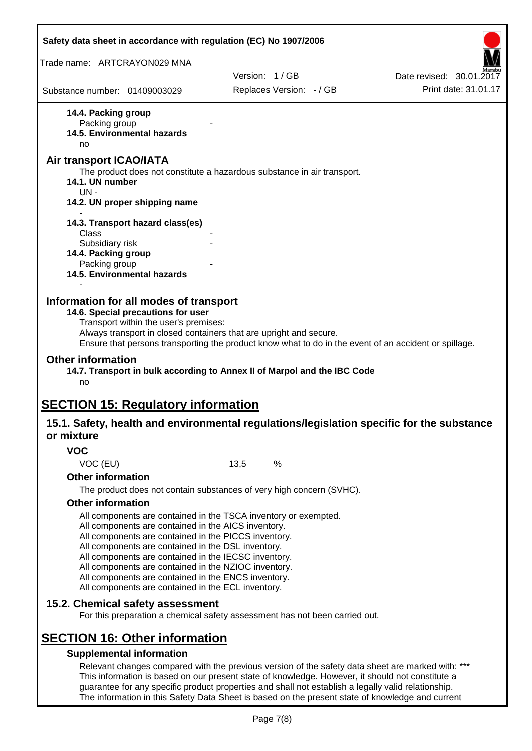| Safety data sheet in accordance with regulation (EC) No 1907/2006                                                                                                                                                                                                                                                                                                                              |                                                                                                                                                                                                                                                                                                              |                          |
|------------------------------------------------------------------------------------------------------------------------------------------------------------------------------------------------------------------------------------------------------------------------------------------------------------------------------------------------------------------------------------------------|--------------------------------------------------------------------------------------------------------------------------------------------------------------------------------------------------------------------------------------------------------------------------------------------------------------|--------------------------|
| Trade name: ARTCRAYON029 MNA                                                                                                                                                                                                                                                                                                                                                                   |                                                                                                                                                                                                                                                                                                              |                          |
|                                                                                                                                                                                                                                                                                                                                                                                                | Version: 1/GB                                                                                                                                                                                                                                                                                                | Date revised: 30.01.2017 |
| Substance number: 01409003029                                                                                                                                                                                                                                                                                                                                                                  | Replaces Version: - / GB                                                                                                                                                                                                                                                                                     | Print date: 31.01.17     |
| 14.4. Packing group<br>Packing group<br>14.5. Environmental hazards<br>no                                                                                                                                                                                                                                                                                                                      |                                                                                                                                                                                                                                                                                                              |                          |
| <b>Air transport ICAO/IATA</b><br>14.1. UN number<br>UN-                                                                                                                                                                                                                                                                                                                                       | The product does not constitute a hazardous substance in air transport.                                                                                                                                                                                                                                      |                          |
| 14.2. UN proper shipping name                                                                                                                                                                                                                                                                                                                                                                  |                                                                                                                                                                                                                                                                                                              |                          |
| 14.3. Transport hazard class(es)<br>Class                                                                                                                                                                                                                                                                                                                                                      |                                                                                                                                                                                                                                                                                                              |                          |
| Subsidiary risk<br>14.4. Packing group<br>Packing group                                                                                                                                                                                                                                                                                                                                        |                                                                                                                                                                                                                                                                                                              |                          |
| 14.5. Environmental hazards                                                                                                                                                                                                                                                                                                                                                                    |                                                                                                                                                                                                                                                                                                              |                          |
| 14.6. Special precautions for user<br>Transport within the user's premises:<br><b>Other information</b><br>no                                                                                                                                                                                                                                                                                  | Always transport in closed containers that are upright and secure.<br>Ensure that persons transporting the product know what to do in the event of an accident or spillage.<br>14.7. Transport in bulk according to Annex II of Marpol and the IBC Code                                                      |                          |
| <b>SECTION 15: Regulatory information</b>                                                                                                                                                                                                                                                                                                                                                      | 15.1. Safety, health and environmental regulations/legislation specific for the substance                                                                                                                                                                                                                    |                          |
| or mixture<br><b>VOC</b>                                                                                                                                                                                                                                                                                                                                                                       |                                                                                                                                                                                                                                                                                                              |                          |
| VOC (EU)                                                                                                                                                                                                                                                                                                                                                                                       | 13,5<br>$\%$                                                                                                                                                                                                                                                                                                 |                          |
| <b>Other information</b>                                                                                                                                                                                                                                                                                                                                                                       |                                                                                                                                                                                                                                                                                                              |                          |
|                                                                                                                                                                                                                                                                                                                                                                                                | The product does not contain substances of very high concern (SVHC).                                                                                                                                                                                                                                         |                          |
| <b>Other information</b>                                                                                                                                                                                                                                                                                                                                                                       |                                                                                                                                                                                                                                                                                                              |                          |
| All components are contained in the AICS inventory.<br>All components are contained in the PICCS inventory.<br>All components are contained in the DSL inventory.<br>All components are contained in the IECSC inventory.<br>All components are contained in the NZIOC inventory.<br>All components are contained in the ENCS inventory.<br>All components are contained in the ECL inventory. | All components are contained in the TSCA inventory or exempted.                                                                                                                                                                                                                                              |                          |
| 15.2. Chemical safety assessment                                                                                                                                                                                                                                                                                                                                                               | For this preparation a chemical safety assessment has not been carried out.                                                                                                                                                                                                                                  |                          |
| <b>SECTION 16: Other information</b><br><b>Supplemental information</b>                                                                                                                                                                                                                                                                                                                        | Relevant changes compared with the previous version of the safety data sheet are marked with: ***<br>This information is based on our present state of knowledge. However, it should not constitute a<br>guarantee for any specific product properties and shall not establish a legally valid relationship. |                          |

The information in this Safety Data Sheet is based on the present state of knowledge and current